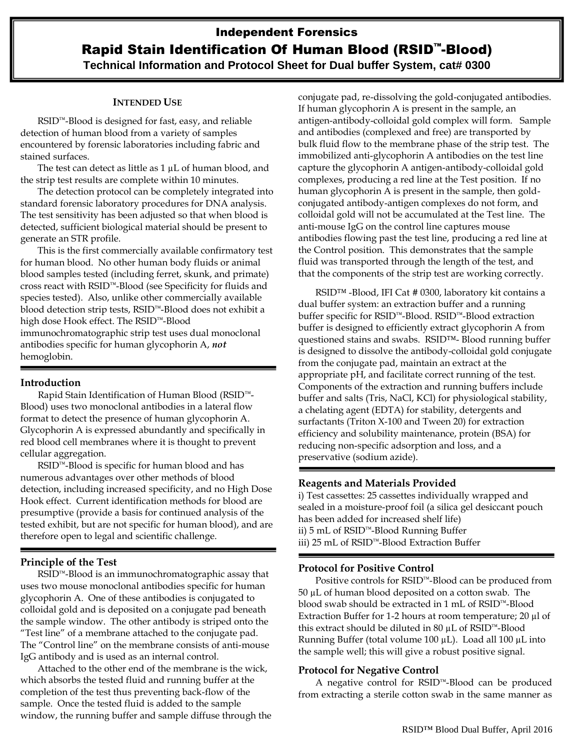## **INTENDED USE**

RSID™-Blood is designed for fast, easy, and reliable detection of human blood from a variety of samples encountered by forensic laboratories including fabric and stained surfaces.

The test can detect as little as 1  $\mu$ L of human blood, and the strip test results are complete within 10 minutes.

The detection protocol can be completely integrated into standard forensic laboratory procedures for DNA analysis. The test sensitivity has been adjusted so that when blood is detected, sufficient biological material should be present to generate an STR profile.

This is the first commercially available confirmatory test for human blood. No other human body fluids or animal blood samples tested (including ferret, skunk, and primate) cross react with RSID™-Blood (see Specificity for fluids and species tested). Also, unlike other commercially available blood detection strip tests, RSID™-Blood does not exhibit a high dose Hook effect. The RSID™-Blood immunochromatographic strip test uses dual monoclonal antibodies specific for human glycophorin A, *not* hemoglobin.

## **Introduction**

Rapid Stain Identification of Human Blood (RSID™- Blood) uses two monoclonal antibodies in a lateral flow format to detect the presence of human glycophorin A. Glycophorin A is expressed abundantly and specifically in red blood cell membranes where it is thought to prevent cellular aggregation.

RSID™-Blood is specific for human blood and has numerous advantages over other methods of blood detection, including increased specificity, and no High Dose Hook effect. Current identification methods for blood are presumptive (provide a basis for continued analysis of the tested exhibit, but are not specific for human blood), and are therefore open to legal and scientific challenge.

# **Principle of the Test**

RSID™-Blood is an immunochromatographic assay that uses two mouse monoclonal antibodies specific for human glycophorin A. One of these antibodies is conjugated to colloidal gold and is deposited on a conjugate pad beneath the sample window. The other antibody is striped onto the "Test line" of a membrane attached to the conjugate pad. The "Control line" on the membrane consists of anti-mouse IgG antibody and is used as an internal control.

Attached to the other end of the membrane is the wick, which absorbs the tested fluid and running buffer at the completion of the test thus preventing back-flow of the sample. Once the tested fluid is added to the sample window, the running buffer and sample diffuse through the conjugate pad, re-dissolving the gold-conjugated antibodies. If human glycophorin A is present in the sample, an antigen-antibody-colloidal gold complex will form. Sample and antibodies (complexed and free) are transported by bulk fluid flow to the membrane phase of the strip test. The immobilized anti-glycophorin A antibodies on the test line capture the glycophorin A antigen-antibody-colloidal gold complexes, producing a red line at the Test position. If no human glycophorin A is present in the sample, then goldconjugated antibody-antigen complexes do not form, and colloidal gold will not be accumulated at the Test line. The anti-mouse IgG on the control line captures mouse antibodies flowing past the test line, producing a red line at the Control position. This demonstrates that the sample fluid was transported through the length of the test, and that the components of the strip test are working correctly.

RSID™ -Blood, IFI Cat # 0300, laboratory kit contains a dual buffer system: an extraction buffer and a running buffer specific for RSID™-Blood. RSID™-Blood extraction buffer is designed to efficiently extract glycophorin A from questioned stains and swabs. RSID™- Blood running buffer is designed to dissolve the antibody-colloidal gold conjugate from the conjugate pad, maintain an extract at the appropriate pH, and facilitate correct running of the test. Components of the extraction and running buffers include buffer and salts (Tris, NaCl, KCl) for physiological stability, a chelating agent (EDTA) for stability, detergents and surfactants (Triton X-100 and Tween 20) for extraction efficiency and solubility maintenance, protein (BSA) for reducing non-specific adsorption and loss, and a preservative (sodium azide).

#### **Reagents and Materials Provided**

i) Test cassettes: 25 cassettes individually wrapped and sealed in a moisture-proof foil (a silica gel desiccant pouch has been added for increased shelf life) ii) 5 mL of RSID™-Blood Running Buffer iii) 25 mL of RSID™-Blood Extraction Buffer

#### **Protocol for Positive Control**

Positive controls for RSID™-Blood can be produced from 50 µL of human blood deposited on a cotton swab. The blood swab should be extracted in 1 mL of RSID™-Blood Extraction Buffer for 1-2 hours at room temperature; 20 µl of this extract should be diluted in 80 µL of RSID™-Blood Running Buffer (total volume 100 µL). Load all 100 µL into the sample well; this will give a robust positive signal.

## **Protocol for Negative Control**

A negative control for RSID™-Blood can be produced from extracting a sterile cotton swab in the same manner as